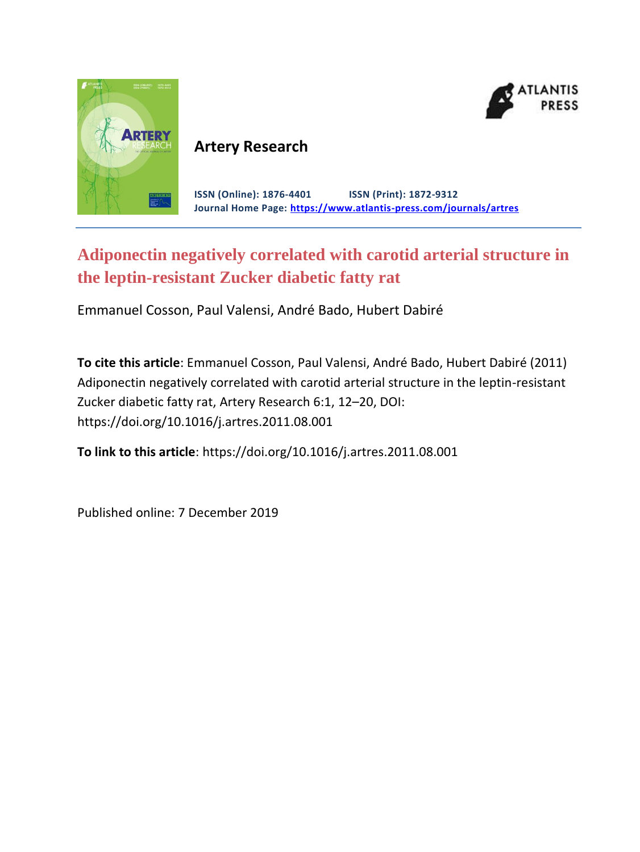



# **Artery Research**

**ISSN (Online): 1876-4401 ISSN (Print): 1872-9312 Journal Home Page: <https://www.atlantis-press.com/journals/artres>**

# **Adiponectin negatively correlated with carotid arterial structure in the leptin-resistant Zucker diabetic fatty rat**

Emmanuel Cosson, Paul Valensi, André Bado, Hubert Dabiré

**To cite this article**: Emmanuel Cosson, Paul Valensi, André Bado, Hubert Dabiré (2011) Adiponectin negatively correlated with carotid arterial structure in the leptin-resistant Zucker diabetic fatty rat, Artery Research 6:1, 12–20, DOI: https://doi.org/10.1016/j.artres.2011.08.001

**To link to this article**: https://doi.org/10.1016/j.artres.2011.08.001

Published online: 7 December 2019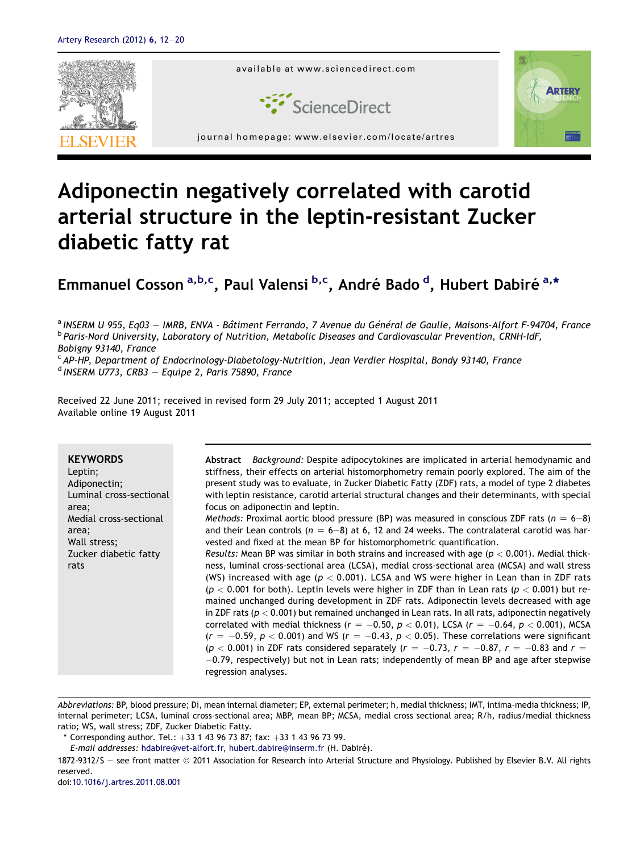

# Adiponectin negatively correlated with carotid arterial structure in the leptin-resistant Zucker diabetic fatty rat

Emmanuel Cosson <sup>a,b,c</sup>, Paul Valensi <sup>b,c</sup>, André Bado <sup>d</sup>, Hubert Dabiré <sup>a,</sup>\*

<sup>a</sup> INSERM U 955, Eq03 — IMRB, ENVA - Bâtiment Ferrando, 7 Avenue du Général de Gaulle, Maisons-Alfort F-94704, France<br><sup>b</sup> Paris-Nord University, Laboratory of Nutrition, Metabolic Diseases and Cardiovascular Prevention, C Bobigny 93140, France

 $c$ AP-HP, Department of Endocrinology-Diabetology-Nutrition, Jean Verdier Hospital, Bondy 93140, France  $d$  INSERM U773, CRB3 – Equipe 2, Paris 75890, France

Received 22 June 2011; received in revised form 29 July 2011; accepted 1 August 2011 Available online 19 August 2011

| <b>KEYWORDS</b>         | Background: Despite adipocytokines are implicated in arterial hemodynamic and<br>Abstract               |
|-------------------------|---------------------------------------------------------------------------------------------------------|
| Leptin;                 | stiffness, their effects on arterial histomorphometry remain poorly explored. The aim of the            |
| Adiponectin;            | present study was to evaluate, in Zucker Diabetic Fatty (ZDF) rats, a model of type 2 diabetes          |
| Luminal cross-sectional | with leptin resistance, carotid arterial structural changes and their determinants, with special        |
| area;                   | focus on adiponectin and leptin.                                                                        |
| Medial cross-sectional  | Methods: Proximal aortic blood pressure (BP) was measured in conscious ZDF rats ( $n = 6-8$ )           |
| area;                   | and their Lean controls ( $n = 6-8$ ) at 6, 12 and 24 weeks. The contralateral carotid was har-         |
| Wall stress;            | vested and fixed at the mean BP for histomorphometric quantification.                                   |
| Zucker diabetic fatty   | Results: Mean BP was similar in both strains and increased with age ( $p < 0.001$ ). Medial thick-      |
| rats                    | ness, luminal cross-sectional area (LCSA), medial cross-sectional area (MCSA) and wall stress           |
|                         | (WS) increased with age ( $p < 0.001$ ). LCSA and WS were higher in Lean than in ZDF rats               |
|                         | ( $p < 0.001$ for both). Leptin levels were higher in ZDF than in Lean rats ( $p < 0.001$ ) but re-     |
|                         | mained unchanged during development in ZDF rats. Adiponectin levels decreased with age                  |
|                         | in ZDF rats ( $p < 0.001$ ) but remained unchanged in Lean rats. In all rats, adiponectin negatively    |
|                         | correlated with medial thickness ( $r = -0.50$ , $p < 0.01$ ), LCSA ( $r = -0.64$ , $p < 0.001$ ), MCSA |
|                         | $(r = -0.59, p < 0.001)$ and WS $(r = -0.43, p < 0.05)$ . These correlations were significant           |
|                         | ( $p < 0.001$ ) in ZDF rats considered separately ( $r = -0.73$ , $r = -0.87$ , $r = -0.83$ and $r =$   |
|                         | $-0.79$ , respectively) but not in Lean rats; independently of mean BP and age after stepwise           |
|                         | regression analyses.                                                                                    |

Abbreviations: BP, blood pressure; Di, mean internal diameter; EP, external perimeter; h, medial thickness; IMT, intima-media thickness; IP, internal perimeter; LCSA, luminal cross-sectional area; MBP, mean BP; MCSA, medial cross sectional area; R/h, radius/medial thickness ratio; WS, wall stress; ZDF, Zucker Diabetic Fatty.

\* Corresponding author. Tel.:  $+33$  1 43 96 73 87; fax:  $+33$  1 43 96 73 99.

E-mail addresses: [hdabire@vet-alfort.fr,](mailto:hdabire@vet-alfort.fr) [hubert.dabire@inserm.fr](mailto:hubert.dabire@inserm.fr) (H. Dabiré).

1872-9312/\$ - see front matter @ 2011 Association for Research into Arterial Structure and Physiology. Published by Elsevier B.V. All rights reserved.

doi[:10.1016/j.artres.2011.08.001](http://dx.doi.org/10.1016/j.artres.2011.08.001)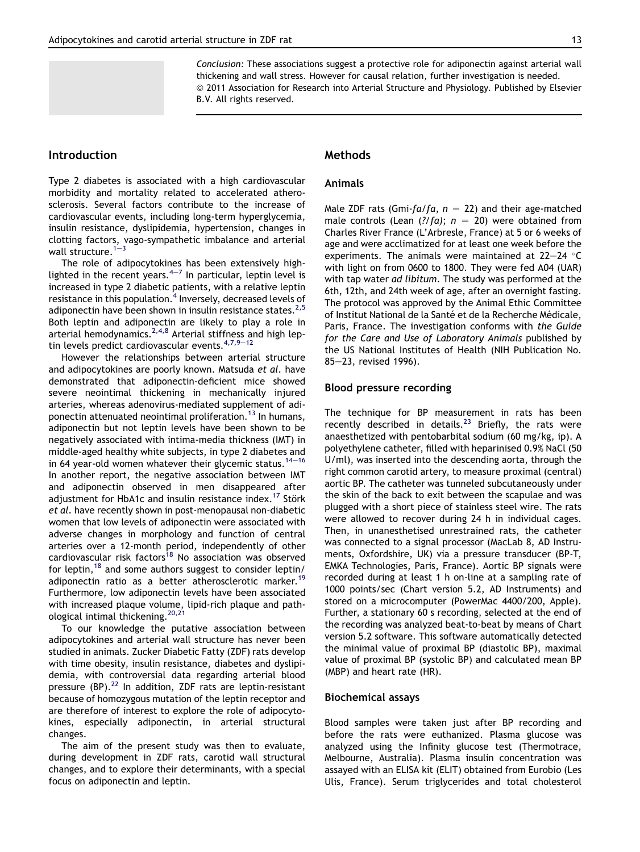Conclusion: These associations suggest a protective role for adiponectin against arterial wall thickening and wall stress. However for causal relation, further investigation is needed. ª 2011 Association for Research into Arterial Structure and Physiology. Published by Elsevier B.V. All rights reserved.

# Introduction

Type 2 diabetes is associated with a high cardiovascular morbidity and mortality related to accelerated atherosclerosis. Several factors contribute to the increase of cardiovascular events, including long-term hyperglycemia, insulin resistance, dyslipidemia, hypertension, changes in clotting factors, vago-sympathetic imbalance and arterial wall structure. $1-3$ 

The role of adipocytokines has been extensively highlighted in the recent years. $4-7$  In particular, leptin level is increased in type 2 diabetic patients, with a relative leptin resistance in this population.<sup>4</sup> Inversely, decreased levels of adiponectin have been shown in insulin resistance states.<sup>2,5</sup> Both leptin and adiponectin are likely to play a role in arterial hemodynamics.<sup>2,4,8</sup> Arterial stiffness and high leptin levels predict cardiovascular events.  $4,7,9-12$ 

However the relationships between arterial structure and adipocytokines are poorly known. Matsuda et al. have demonstrated that adiponectin-deficient mice showed severe neointimal thickening in mechanically injured arteries, whereas adenovirus-mediated supplement of adiponectin attenuated neointimal proliferation.<sup>13</sup> In humans, adiponectin but not leptin levels have been shown to be negatively associated with intima-media thickness (IMT) in middle-aged healthy white subjects, in type 2 diabetes and in 64 year-old women whatever their glycemic status.  $14-16$ In another report, the negative association between IMT and adiponectin observed in men disappeared after adjustment for HbA1c and insulin resistance index.<sup>17</sup> Störk et al. have recently shown in post-menopausal non-diabetic women that low levels of adiponectin were associated with adverse changes in morphology and function of central arteries over a 12-month period, independently of other cardiovascular risk factors<sup>18</sup> No association was observed for leptin,<sup>18</sup> and some authors suggest to consider leptin/ adiponectin ratio as a better atherosclerotic marker.<sup>19</sup> Furthermore, low adiponectin levels have been associated with increased plaque volume, lipid-rich plaque and pathological intimal thickening.<sup>20,21</sup>

To our knowledge the putative association between adipocytokines and arterial wall structure has never been studied in animals. Zucker Diabetic Fatty (ZDF) rats develop with time obesity, insulin resistance, diabetes and dyslipidemia, with controversial data regarding arterial blood pressure (BP).<sup>22</sup> In addition, ZDF rats are leptin-resistant because of homozygous mutation of the leptin receptor and are therefore of interest to explore the role of adipocytokines, especially adiponectin, in arterial structural changes.

The aim of the present study was then to evaluate, during development in ZDF rats, carotid wall structural changes, and to explore their determinants, with a special focus on adiponectin and leptin.

# Methods

#### Animals

Male ZDF rats (Gmi-fa/fa,  $n = 22$ ) and their age-matched male controls (Lean (?/fa);  $n = 20$ ) were obtained from Charles River France (L'Arbresle, France) at 5 or 6 weeks of age and were acclimatized for at least one week before the experiments. The animals were maintained at  $22-24$  °C with light on from 0600 to 1800. They were fed A04 (UAR) with tap water ad libitum. The study was performed at the 6th, 12th, and 24th week of age, after an overnight fasting. The protocol was approved by the Animal Ethic Committee of Institut National de la Santé et de la Recherche Médicale, Paris, France. The investigation conforms with the Guide for the Care and Use of Laboratory Animals published by the US National Institutes of Health (NIH Publication No. 85-23, revised 1996).

#### Blood pressure recording

The technique for BP measurement in rats has been recently described in details.<sup>23</sup> Briefly, the rats were anaesthetized with pentobarbital sodium (60 mg/kg, ip). A polyethylene catheter, filled with heparinised 0.9% NaCl (50 U/ml), was inserted into the descending aorta, through the right common carotid artery, to measure proximal (central) aortic BP. The catheter was tunneled subcutaneously under the skin of the back to exit between the scapulae and was plugged with a short piece of stainless steel wire. The rats were allowed to recover during 24 h in individual cages. Then, in unanesthetised unrestrained rats, the catheter was connected to a signal processor (MacLab 8, AD Instruments, Oxfordshire, UK) via a pressure transducer (BP-T, EMKA Technologies, Paris, France). Aortic BP signals were recorded during at least 1 h on-line at a sampling rate of 1000 points/sec (Chart version 5.2, AD Instruments) and stored on a microcomputer (PowerMac 4400/200, Apple). Further, a stationary 60 s recording, selected at the end of the recording was analyzed beat-to-beat by means of Chart version 5.2 software. This software automatically detected the minimal value of proximal BP (diastolic BP), maximal value of proximal BP (systolic BP) and calculated mean BP (MBP) and heart rate (HR).

#### Biochemical assays

Blood samples were taken just after BP recording and before the rats were euthanized. Plasma glucose was analyzed using the Infinity glucose test (Thermotrace, Melbourne, Australia). Plasma insulin concentration was assayed with an ELISA kit (ELIT) obtained from Eurobio (Les Ulis, France). Serum triglycerides and total cholesterol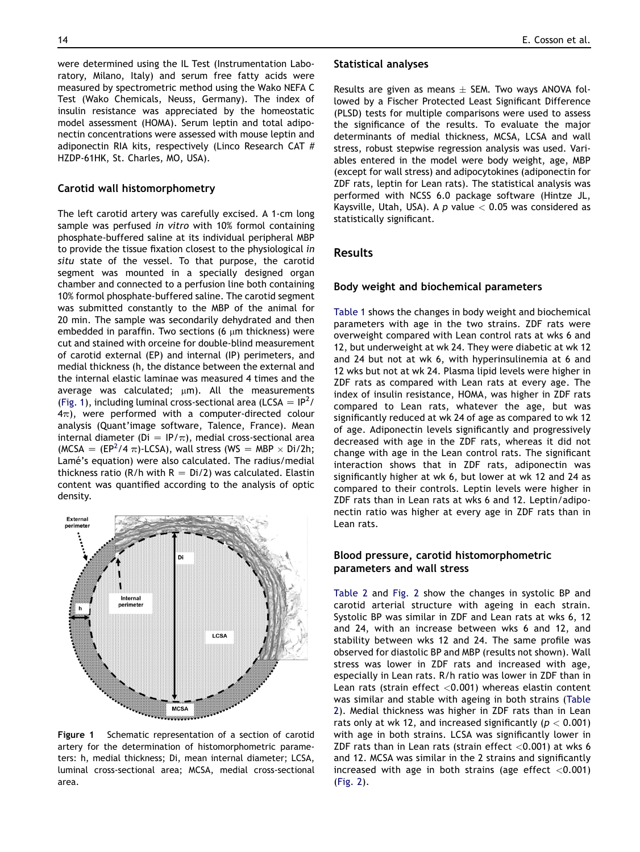were determined using the IL Test (Instrumentation Laboratory, Milano, Italy) and serum free fatty acids were measured by spectrometric method using the Wako NEFA C Test (Wako Chemicals, Neuss, Germany). The index of insulin resistance was appreciated by the homeostatic model assessment (HOMA). Serum leptin and total adiponectin concentrations were assessed with mouse leptin and adiponectin RIA kits, respectively (Linco Research CAT # HZDP-61HK, St. Charles, MO, USA).

#### Carotid wall histomorphometry

The left carotid artery was carefully excised. A 1-cm long sample was perfused in vitro with 10% formol containing phosphate-buffered saline at its individual peripheral MBP to provide the tissue fixation closest to the physiological in situ state of the vessel. To that purpose, the carotid segment was mounted in a specially designed organ chamber and connected to a perfusion line both containing 10% formol phosphate-buffered saline. The carotid segment was submitted constantly to the MBP of the animal for 20 min. The sample was secondarily dehydrated and then embedded in paraffin. Two sections (6  $\mu$ m thickness) were cut and stained with orceine for double-blind measurement of carotid external (EP) and internal (IP) perimeters, and medial thickness (h, the distance between the external and the internal elastic laminae was measured 4 times and the average was calculated;  $\mu$ m). All the measurements (Fig. 1), including luminal cross-sectional area (LCSA =  $IP<sup>2</sup>/$  $4\pi$ ), were performed with a computer-directed colour analysis (Quant'image software, Talence, France). Mean internal diameter (Di =  $IP/\pi$ ), medial cross-sectional area  $(MCSA = (EP<sup>2</sup>/4 \pi)$ -LCSA), wall stress  $(WS = MBP \times Di/2h;$ Lamé's equation) were also calculated. The radius/medial thickness ratio (R/h with  $R = Di/2$ ) was calculated. Elastin content was quantified according to the analysis of optic density.



Figure 1 Schematic representation of a section of carotid artery for the determination of histomorphometric parameters: h, medial thickness; Di, mean internal diameter; LCSA, luminal cross-sectional area; MCSA, medial cross-sectional area.

#### Statistical analyses

Results are given as means  $\pm$  SEM. Two ways ANOVA followed by a Fischer Protected Least Significant Difference (PLSD) tests for multiple comparisons were used to assess the significance of the results. To evaluate the major determinants of medial thickness, MCSA, LCSA and wall stress, robust stepwise regression analysis was used. Variables entered in the model were body weight, age, MBP (except for wall stress) and adipocytokines (adiponectin for ZDF rats, leptin for Lean rats). The statistical analysis was performed with NCSS 6.0 package software (Hintze JL, Kaysville, Utah, USA). A p value  $< 0.05$  was considered as statistically significant.

# Results

#### Body weight and biochemical parameters

Table 1 shows the changes in body weight and biochemical parameters with age in the two strains. ZDF rats were overweight compared with Lean control rats at wks 6 and 12, but underweight at wk 24. They were diabetic at wk 12 and 24 but not at wk 6, with hyperinsulinemia at 6 and 12 wks but not at wk 24. Plasma lipid levels were higher in ZDF rats as compared with Lean rats at every age. The index of insulin resistance, HOMA, was higher in ZDF rats compared to Lean rats, whatever the age, but was significantly reduced at wk 24 of age as compared to wk 12 of age. Adiponectin levels significantly and progressively decreased with age in the ZDF rats, whereas it did not change with age in the Lean control rats. The significant interaction shows that in ZDF rats, adiponectin was significantly higher at wk 6, but lower at wk 12 and 24 as compared to their controls. Leptin levels were higher in ZDF rats than in Lean rats at wks 6 and 12. Leptin/adiponectin ratio was higher at every age in ZDF rats than in Lean rats.

### Blood pressure, carotid histomorphometric parameters and wall stress

Table 2 and Fig. 2 show the changes in systolic BP and carotid arterial structure with ageing in each strain. Systolic BP was similar in ZDF and Lean rats at wks 6, 12 and 24, with an increase between wks 6 and 12, and stability between wks 12 and 24. The same profile was observed for diastolic BP and MBP (results not shown). Wall stress was lower in ZDF rats and increased with age, especially in Lean rats. R/h ratio was lower in ZDF than in Lean rats (strain effect  $<$  0.001) whereas elastin content was similar and stable with ageing in both strains (Table 2). Medial thickness was higher in ZDF rats than in Lean rats only at wk 12, and increased significantly ( $p < 0.001$ ) with age in both strains. LCSA was significantly lower in ZDF rats than in Lean rats (strain effect  $< 0.001$ ) at wks 6 and 12. MCSA was similar in the 2 strains and significantly increased with age in both strains (age effect  $< 0.001$ ) (Fig. 2).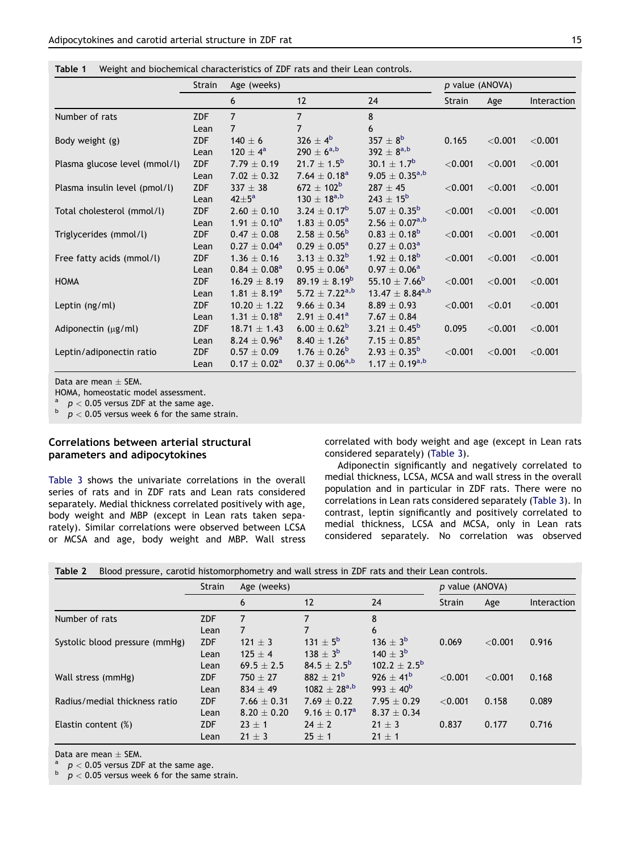|                               | Strain     | Age (weeks)                |                                |                               | p value (ANOVA) |         |             |
|-------------------------------|------------|----------------------------|--------------------------------|-------------------------------|-----------------|---------|-------------|
|                               |            | 6                          | 12                             | 24                            | <b>Strain</b>   | Age     | Interaction |
| Number of rats                | ZDF        | $\overline{7}$             | $\overline{7}$                 | 8                             |                 |         |             |
|                               | Lean       | $\overline{7}$             | 7                              | 6                             |                 |         |             |
| Body weight (g)               | ZDF        | $140 \pm 6$                | $326 \pm 4^b$                  | $357 \pm 8^{\circ}$           | 0.165           | < 0.001 | < 0.001     |
|                               | Lean       | 120 $\pm$ 4 <sup>a</sup>   | $290 \pm 6^{a,b}$              | 392 $\pm 8^{a,b}$             |                 |         |             |
| Plasma glucose level (mmol/l) | ZDF        | $7.79 \pm 0.19$            | $21.7 \pm 1.5^{\rm b}$         | $30.1 \pm 1.7^{\rm b}$        | < 0.001         | < 0.001 | < 0.001     |
|                               | Lean       | $7.02 \pm 0.32$            | $7.64 \pm 0.18^a$              | $9.05 \pm 0.35^{a,b}$         |                 |         |             |
| Plasma insulin level (pmol/l) | ZDF        | $337 \pm 38$               | $672 \pm 102^b$                | $287 \pm 45$                  | < 0.001         | < 0.001 | < 0.001     |
|                               | Lean       | $42 \pm 5^a$               | $130 \pm 18^{a,b}$             | $243 \pm 15^{6}$              |                 |         |             |
| Total cholesterol (mmol/l)    | <b>ZDF</b> | $2.60 \pm 0.10$            | $3.24 \pm 0.17^b$              | 5.07 $\pm$ 0.35 <sup>b</sup>  | < 0.001         | < 0.001 | < 0.001     |
|                               | Lean       | $1.91 \pm 0.10^a$          | $1.83 \pm 0.05^a$              | $2.56 \pm 0.07^{\rm a,b}$     |                 |         |             |
| Triglycerides (mmol/l)        | ZDF        | $0.47 \pm 0.08$            | $2.58 \pm 0.56^b$              | $0.83 \pm 0.18^{\rm b}$       | < 0.001         | < 0.001 | < 0.001     |
|                               | Lean       | $0.27 \pm 0.04^{\text{a}}$ | $0.29 \pm 0.05^a$              | $0.27 \pm 0.03^a$             |                 |         |             |
| Free fatty acids (mmol/l)     | <b>ZDF</b> | $1.36 \pm 0.16$            | $3.13 \pm 0.32^b$              | $1.92 \pm 0.18^b$             | < 0.001         | < 0.001 | < 0.001     |
|                               | Lean       | $0.84 \pm 0.08^{\text{a}}$ | $0.95 \pm 0.06^a$              | $0.97 \pm 0.06^a$             |                 |         |             |
| <b>HOMA</b>                   | ZDF        | $16.29 \pm 8.19$           | $89.19 + 8.19^{b}$             | 55.10 $\pm$ 7.66 <sup>b</sup> | < 0.001         | < 0.001 | < 0.001     |
|                               | Lean       | $1.81 \pm 8.19^a$          | 5.72 $\pm$ 7.22 <sup>a,b</sup> | $13.47 \pm 8.84^{a,b}$        |                 |         |             |
| Leptin $(ng/ml)$              | ZDF        | $10.20 \pm 1.22$           | $9.66 \pm 0.34$                | $8.89 \pm 0.93$               | < 0.001         | < 0.01  | < 0.001     |
|                               | Lean       | $1.31 \pm 0.18^a$          | $2.91 \pm 0.41^a$              | $7.67 \pm 0.84$               |                 |         |             |
| Adiponectin $(\mu g/ml)$      | ZDF        | $18.71 \pm 1.43$           | $6.00 \pm 0.62^b$              | $3.21 \pm 0.45^{\circ}$       | 0.095           | < 0.001 | < 0.001     |
|                               | Lean       | $8.24 \pm 0.96^a$          | $8.40 \pm 1.26^{\circ}$        | 7.15 $\pm$ 0.85 <sup>a</sup>  |                 |         |             |
| Leptin/adiponectin ratio      | ZDF        | $0.57 \pm 0.09$            | $1.76 \pm 0.26^{\circ}$        | $2.93 \pm 0.35^{b}$           | $<$ 0.001       | < 0.001 | < 0.001     |
|                               | Lean       | $0.17 \pm 0.02^a$          | $0.37 + 0.06^{a,b}$            | $1.17 \pm 0.19^{a,b}$         |                 |         |             |

Data are mean  $+$  SEM.

HOMA, homeostatic model assessment.<br> $\frac{a}{p}$   $p < 0.05$  versus ZDF at the same age.

 $\overline{p}$  b p < 0.05 versus week 6 for the same strain.

# Correlations between arterial structural parameters and adipocytokines

Table 3 shows the univariate correlations in the overall series of rats and in ZDF rats and Lean rats considered separately. Medial thickness correlated positively with age, body weight and MBP (except in Lean rats taken separately). Similar correlations were observed between LCSA or MCSA and age, body weight and MBP. Wall stress correlated with body weight and age (except in Lean rats considered separately) (Table 3).

Adiponectin significantly and negatively correlated to medial thickness, LCSA, MCSA and wall stress in the overall population and in particular in ZDF rats. There were no correlations in Lean rats considered separately (Table 3). In contrast, leptin significantly and positively correlated to medial thickness, LCSA and MCSA, only in Lean rats considered separately. No correlation was observed

|                                | Strain     | Age (weeks)     |                   |                          | p value (ANOVA) |         |             |
|--------------------------------|------------|-----------------|-------------------|--------------------------|-----------------|---------|-------------|
|                                |            | 6               | 12                | 24                       | <b>Strain</b>   | Age     | Interaction |
| Number of rats                 | <b>ZDF</b> | 7               | 7                 | 8                        |                 |         |             |
|                                | Lean       |                 | 7                 | 6                        |                 |         |             |
| Systolic blood pressure (mmHg) | <b>ZDF</b> | $121 + 3$       | $131 + 5^b$       | 136 $\pm$ 3 <sup>b</sup> | 0.069           | < 0.001 | 0.916       |
|                                | Lean       | $125 + 4$       | $138 + 3^{b}$     | $140 + 3^{b}$            |                 |         |             |
|                                | Lean       | $69.5 + 2.5$    | $84.5 + 2.5^b$    | $102.2 + 2.5^{\circ}$    |                 |         |             |
| Wall stress (mmHg)             | ZDF        | $750 + 27$      | $882 + 21^{b}$    | $926 + 41^{b}$           | < 0.001         | < 0.001 | 0.168       |
|                                | Lean       | $834 + 49$      | $1082 + 28^{a,b}$ | $993 + 40^{b}$           |                 |         |             |
| Radius/medial thickness ratio  | <b>ZDF</b> | $7.66 + 0.31$   | $7.69 + 0.22$     | $7.95 + 0.29$            | < 0.001         | 0.158   | 0.089       |
|                                | Lean       | $8.20 \pm 0.20$ | $9.16 + 0.17^a$   | $8.37 + 0.34$            |                 |         |             |
| Elastin content (%)            | ZDF        | $23 + 1$        | $24 \pm 2$        | $21 + 3$                 | 0.837           | 0.177   | 0.716       |
|                                | Lean       | $21 + 3$        | $25 + 1$          | $21 \pm 1$               |                 |         |             |

Table 2 Blood pressure, carotid histomorphometry and wall stress in ZDF rats and their Lean controls.

Data are mean  $\pm$  SEM.<br><sup>a</sup>  $p < 0.05$  versus ZDF at the same age.<br><sup>b</sup>  $p < 0.05$  versus week 6 for the same strain.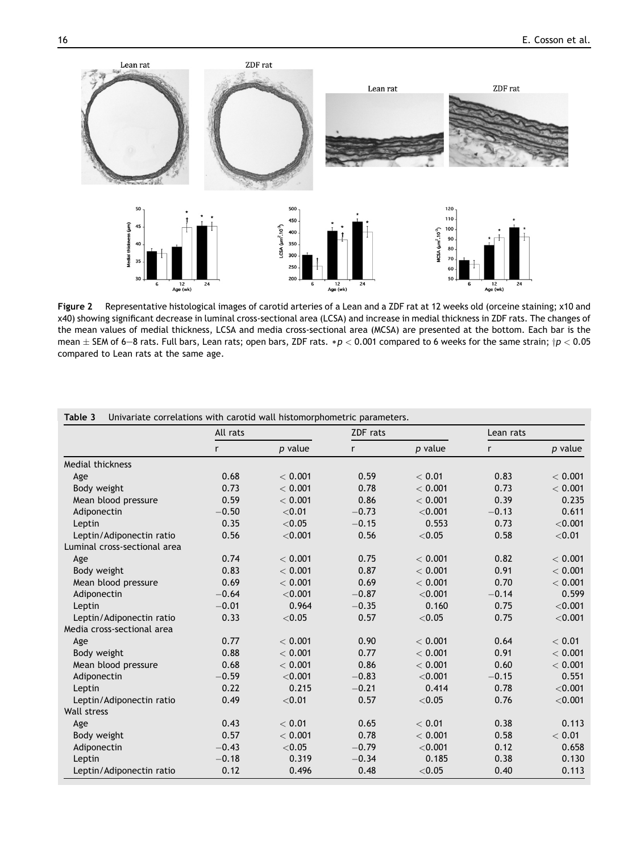

Figure 2 Representative histological images of carotid arteries of a Lean and a ZDF rat at 12 weeks old (orceine staining; x10 and x40) showing significant decrease in luminal cross-sectional area (LCSA) and increase in medial thickness in ZDF rats. The changes of the mean values of medial thickness, LCSA and media cross-sectional area (MCSA) are presented at the bottom. Each bar is the mean  $\pm$  SEM of 6–8 rats. Full bars, Lean rats; open bars, ZDF rats.  $*p < 0.001$  compared to 6 weeks for the same strain;  $/p < 0.05$ compared to Lean rats at the same age.

|                              | All rats     |         | ZDF rats |         | Lean rats    |         |
|------------------------------|--------------|---------|----------|---------|--------------|---------|
|                              | $\mathsf{r}$ | p value | r        | p value | $\mathsf{r}$ | p value |
| <b>Medial thickness</b>      |              |         |          |         |              |         |
| Age                          | 0.68         | < 0.001 | 0.59     | < 0.01  | 0.83         | < 0.001 |
| Body weight                  | 0.73         | < 0.001 | 0.78     | < 0.001 | 0.73         | < 0.001 |
| Mean blood pressure          | 0.59         | < 0.001 | 0.86     | < 0.001 | 0.39         | 0.235   |
| Adiponectin                  | $-0.50$      | < 0.01  | $-0.73$  | < 0.001 | $-0.13$      | 0.611   |
| Leptin                       | 0.35         | < 0.05  | $-0.15$  | 0.553   | 0.73         | < 0.001 |
| Leptin/Adiponectin ratio     | 0.56         | < 0.001 | 0.56     | < 0.05  | 0.58         | < 0.01  |
| Luminal cross-sectional area |              |         |          |         |              |         |
| Age                          | 0.74         | < 0.001 | 0.75     | < 0.001 | 0.82         | < 0.001 |
| Body weight                  | 0.83         | < 0.001 | 0.87     | < 0.001 | 0.91         | < 0.001 |
| Mean blood pressure          | 0.69         | < 0.001 | 0.69     | < 0.001 | 0.70         | < 0.001 |
| Adiponectin                  | $-0.64$      | < 0.001 | $-0.87$  | < 0.001 | $-0.14$      | 0.599   |
| Leptin                       | $-0.01$      | 0.964   | $-0.35$  | 0.160   | 0.75         | < 0.001 |
| Leptin/Adiponectin ratio     | 0.33         | < 0.05  | 0.57     | < 0.05  | 0.75         | < 0.001 |
| Media cross-sectional area   |              |         |          |         |              |         |
| Age                          | 0.77         | < 0.001 | 0.90     | < 0.001 | 0.64         | < 0.01  |
| Body weight                  | 0.88         | < 0.001 | 0.77     | < 0.001 | 0.91         | < 0.001 |
| Mean blood pressure          | 0.68         | < 0.001 | 0.86     | < 0.001 | 0.60         | < 0.001 |
| Adiponectin                  | $-0.59$      | < 0.001 | $-0.83$  | < 0.001 | $-0.15$      | 0.551   |
| Leptin                       | 0.22         | 0.215   | $-0.21$  | 0.414   | 0.78         | < 0.001 |
| Leptin/Adiponectin ratio     | 0.49         | < 0.01  | 0.57     | < 0.05  | 0.76         | < 0.001 |
| Wall stress                  |              |         |          |         |              |         |
| Age                          | 0.43         | < 0.01  | 0.65     | < 0.01  | 0.38         | 0.113   |
| Body weight                  | 0.57         | < 0.001 | 0.78     | < 0.001 | 0.58         | < 0.01  |
| Adiponectin                  | $-0.43$      | < 0.05  | $-0.79$  | < 0.001 | 0.12         | 0.658   |
| Leptin                       | $-0.18$      | 0.319   | $-0.34$  | 0.185   | 0.38         | 0.130   |
| Leptin/Adiponectin ratio     | 0.12         | 0.496   | 0.48     | < 0.05  | 0.40         | 0.113   |

Table 3 Univariate correlations with carotid wall histomorphometric parameters.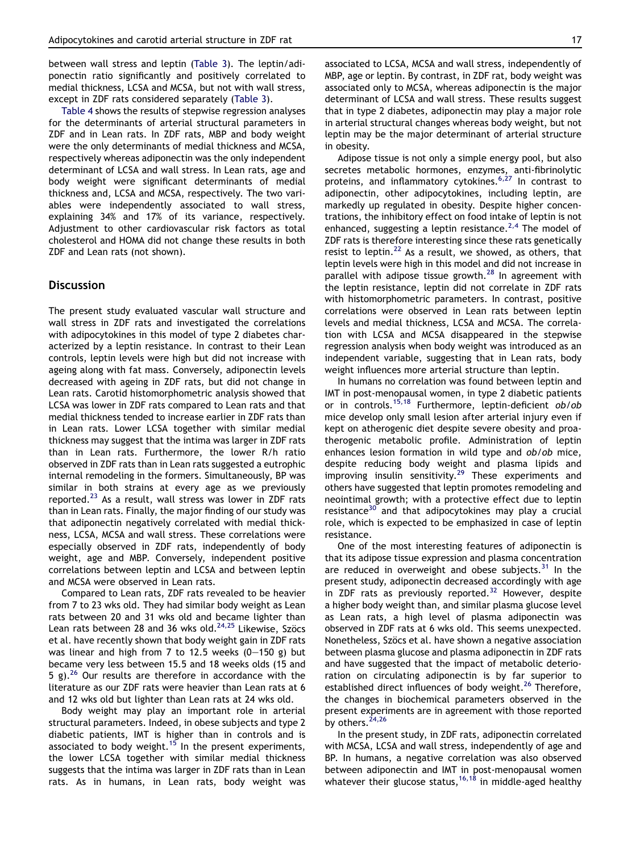between wall stress and leptin (Table 3). The leptin/adiponectin ratio significantly and positively correlated to medial thickness, LCSA and MCSA, but not with wall stress, except in ZDF rats considered separately (Table 3).

Table 4 shows the results of stepwise regression analyses for the determinants of arterial structural parameters in ZDF and in Lean rats. In ZDF rats, MBP and body weight were the only determinants of medial thickness and MCSA, respectively whereas adiponectin was the only independent determinant of LCSA and wall stress. In Lean rats, age and body weight were significant determinants of medial thickness and, LCSA and MCSA, respectively. The two variables were independently associated to wall stress, explaining 34% and 17% of its variance, respectively. Adjustment to other cardiovascular risk factors as total cholesterol and HOMA did not change these results in both ZDF and Lean rats (not shown).

#### **Discussion**

The present study evaluated vascular wall structure and wall stress in ZDF rats and investigated the correlations with adipocytokines in this model of type 2 diabetes characterized by a leptin resistance. In contrast to their Lean controls, leptin levels were high but did not increase with ageing along with fat mass. Conversely, adiponectin levels decreased with ageing in ZDF rats, but did not change in Lean rats. Carotid histomorphometric analysis showed that LCSA was lower in ZDF rats compared to Lean rats and that medial thickness tended to increase earlier in ZDF rats than in Lean rats. Lower LCSA together with similar medial thickness may suggest that the intima was larger in ZDF rats than in Lean rats. Furthermore, the lower R/h ratio observed in ZDF rats than in Lean rats suggested a eutrophic internal remodeling in the formers. Simultaneously, BP was similar in both strains at every age as we previously reported. $^{23}$  As a result, wall stress was lower in ZDF rats than in Lean rats. Finally, the major finding of our study was that adiponectin negatively correlated with medial thickness, LCSA, MCSA and wall stress. These correlations were especially observed in ZDF rats, independently of body weight, age and MBP. Conversely, independent positive correlations between leptin and LCSA and between leptin and MCSA were observed in Lean rats.

Compared to Lean rats, ZDF rats revealed to be heavier from 7 to 23 wks old. They had similar body weight as Lean rats between 20 and 31 wks old and became lighter than Lean rats between 28 and 36 wks old.<sup>24,25</sup> Likewise, Szöcs et al. have recently shown that body weight gain in ZDF rats was linear and high from 7 to 12.5 weeks  $(0-150 \text{ g})$  but became very less between 15.5 and 18 weeks olds (15 and 5 g).<sup>26</sup> Our results are therefore in accordance with the literature as our ZDF rats were heavier than Lean rats at 6 and 12 wks old but lighter than Lean rats at 24 wks old.

Body weight may play an important role in arterial structural parameters. Indeed, in obese subjects and type 2 diabetic patients, IMT is higher than in controls and is associated to body weight.<sup>15</sup> In the present experiments, the lower LCSA together with similar medial thickness suggests that the intima was larger in ZDF rats than in Lean rats. As in humans, in Lean rats, body weight was associated to LCSA, MCSA and wall stress, independently of MBP, age or leptin. By contrast, in ZDF rat, body weight was associated only to MCSA, whereas adiponectin is the major determinant of LCSA and wall stress. These results suggest that in type 2 diabetes, adiponectin may play a major role in arterial structural changes whereas body weight, but not leptin may be the major determinant of arterial structure in obesity.

Adipose tissue is not only a simple energy pool, but also secretes metabolic hormones, enzymes, anti-fibrinolytic proteins, and inflammatory cytokines.<sup>6,27</sup> In contrast to adiponectin, other adipocytokines, including leptin, are markedly up regulated in obesity. Despite higher concentrations, the inhibitory effect on food intake of leptin is not enhanced, suggesting a leptin resistance.<sup>2,4</sup> The model of ZDF rats is therefore interesting since these rats genetically resist to leptin.<sup>22</sup> As a result, we showed, as others, that leptin levels were high in this model and did not increase in parallel with adipose tissue growth.<sup>28</sup> In agreement with the leptin resistance, leptin did not correlate in ZDF rats with histomorphometric parameters. In contrast, positive correlations were observed in Lean rats between leptin levels and medial thickness, LCSA and MCSA. The correlation with LCSA and MCSA disappeared in the stepwise regression analysis when body weight was introduced as an independent variable, suggesting that in Lean rats, body weight influences more arterial structure than leptin.

In humans no correlation was found between leptin and IMT in post-menopausal women, in type 2 diabetic patients or in controls.<sup>15,18</sup> Furthermore, leptin-deficient ob/ob mice develop only small lesion after arterial injury even if kept on atherogenic diet despite severe obesity and proatherogenic metabolic profile. Administration of leptin enhances lesion formation in wild type and ob/ob mice, despite reducing body weight and plasma lipids and improving insulin sensitivity.<sup>29</sup> These experiments and others have suggested that leptin promotes remodeling and neointimal growth; with a protective effect due to leptin resistance<sup>30</sup> and that adipocytokines may play a crucial role, which is expected to be emphasized in case of leptin resistance.

One of the most interesting features of adiponectin is that its adipose tissue expression and plasma concentration are reduced in overweight and obese subjects. $31$  In the present study, adiponectin decreased accordingly with age in ZDF rats as previously reported.<sup>32</sup> However, despite a higher body weight than, and similar plasma glucose level as Lean rats, a high level of plasma adiponectin was observed in ZDF rats at 6 wks old. This seems unexpected. Nonetheless, Szöcs et al. have shown a negative association between plasma glucose and plasma adiponectin in ZDF rats and have suggested that the impact of metabolic deterioration on circulating adiponectin is by far superior to established direct influences of body weight.<sup>26</sup> Therefore, the changes in biochemical parameters observed in the present experiments are in agreement with those reported by others.<sup>24,26</sup>

In the present study, in ZDF rats, adiponectin correlated with MCSA, LCSA and wall stress, independently of age and BP. In humans, a negative correlation was also observed between adiponectin and IMT in post-menopausal women whatever their glucose status,<sup>16,18</sup> in middle-aged healthy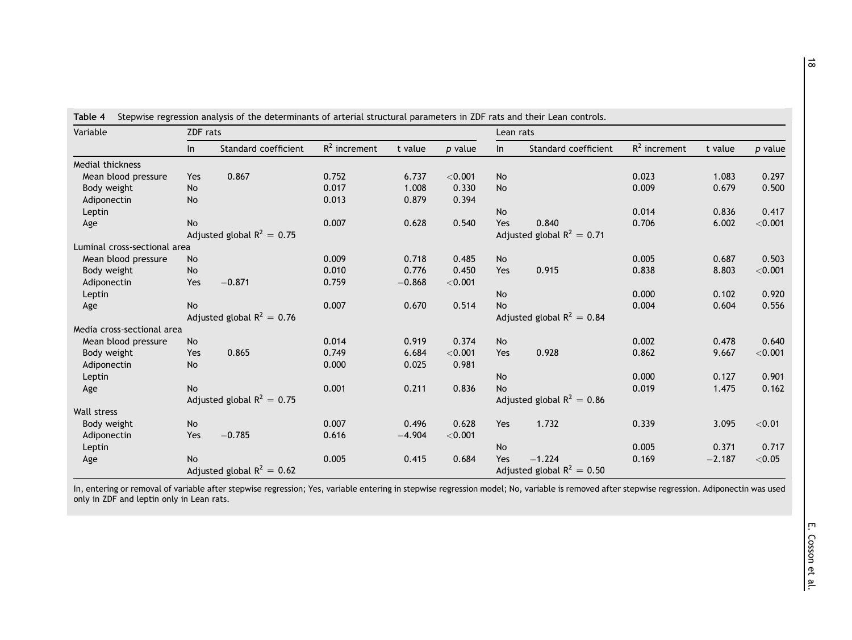| Variable                     | ZDF rats  |                              |                 |          |                              | Lean rats                    |                              |                 |          |           |
|------------------------------|-----------|------------------------------|-----------------|----------|------------------------------|------------------------------|------------------------------|-----------------|----------|-----------|
|                              | $\ln$     | Standard coefficient         | $R^2$ increment | t value  | p value                      | ln                           | Standard coefficient         | $R^2$ increment | t value  | p value   |
| Medial thickness             |           |                              |                 |          |                              |                              |                              |                 |          |           |
| Mean blood pressure          | Yes       | 0.867                        | 0.752           | 6.737    | < 0.001                      | <b>No</b>                    |                              | 0.023           | 1.083    | 0.297     |
| Body weight                  | <b>No</b> |                              | 0.017           | 1.008    | 0.330                        | <b>No</b>                    |                              | 0.009           | 0.679    | 0.500     |
| Adiponectin                  | <b>No</b> |                              | 0.013           | 0.879    | 0.394                        |                              |                              |                 |          |           |
| Leptin                       |           |                              |                 |          |                              | <b>No</b>                    |                              | 0.014           | 0.836    | 0.417     |
| Age                          | <b>No</b> |                              | 0.007           | 0.628    | 0.540                        | Yes                          | 0.840                        | 0.706           | 6.002    | < 0.001   |
|                              |           | Adjusted global $R^2 = 0.75$ |                 |          |                              |                              | Adjusted global $R^2 = 0.71$ |                 |          |           |
| Luminal cross-sectional area |           |                              |                 |          |                              |                              |                              |                 |          |           |
| Mean blood pressure          | No        |                              | 0.009           | 0.718    | 0.485                        | No                           |                              | 0.005           | 0.687    | 0.503     |
| Body weight                  | <b>No</b> |                              | 0.010           | 0.776    | 0.450                        | Yes                          | 0.915                        | 0.838           | 8.803    | $<$ 0.001 |
| Adiponectin                  | Yes       | $-0.871$                     | 0.759           | $-0.868$ | < 0.001                      |                              |                              |                 |          |           |
| Leptin                       |           |                              |                 |          |                              | <b>No</b>                    |                              | 0.000           | 0.102    | 0.920     |
| Age                          | <b>No</b> |                              | 0.007           | 0.670    | 0.514                        | <b>No</b>                    |                              | 0.004           | 0.604    | 0.556     |
|                              |           | Adjusted global $R^2 = 0.76$ |                 |          |                              |                              | Adjusted global $R^2 = 0.84$ |                 |          |           |
| Media cross-sectional area   |           |                              |                 |          |                              |                              |                              |                 |          |           |
| Mean blood pressure          | No        |                              | 0.014           | 0.919    | 0.374                        | <b>No</b>                    |                              | 0.002           | 0.478    | 0.640     |
| Body weight                  | Yes       | 0.865                        | 0.749           | 6.684    | $<$ 0.001                    | Yes                          | 0.928                        | 0.862           | 9.667    | < 0.001   |
| Adiponectin                  | No        |                              | 0.000           | 0.025    | 0.981                        |                              |                              |                 |          |           |
| Leptin                       |           |                              |                 |          |                              | <b>No</b>                    |                              | 0.000           | 0.127    | 0.901     |
| Age                          | <b>No</b> |                              | 0.001           | 0.211    | 0.836                        | <b>No</b>                    |                              | 0.019           | 1.475    | 0.162     |
| Adjusted global $R^2 = 0.75$ |           |                              |                 |          | Adjusted global $R^2 = 0.86$ |                              |                              |                 |          |           |
| Wall stress                  |           |                              |                 |          |                              |                              |                              |                 |          |           |
| Body weight                  | No        |                              | 0.007           | 0.496    | 0.628                        | Yes                          | 1.732                        | 0.339           | 3.095    | < 0.01    |
| Adiponectin                  | Yes       | $-0.785$                     | 0.616           | $-4.904$ | < 0.001                      |                              |                              |                 |          |           |
| Leptin                       |           |                              |                 |          |                              | <b>No</b>                    |                              | 0.005           | 0.371    | 0.717     |
| Age                          | <b>No</b> |                              | 0.005           | 0.415    | 0.684                        | Yes                          | $-1.224$                     | 0.169           | $-2.187$ | < 0.05    |
|                              |           | Adjusted global $R^2 = 0.62$ |                 |          |                              | Adjusted global $R^2 = 0.50$ |                              |                 |          |           |

|  |  | Table 4 Stepwise regression analysis of the determinants of arterial structural parameters in ZDF rats and their Lean controls. |
|--|--|---------------------------------------------------------------------------------------------------------------------------------|
|  |  |                                                                                                                                 |

In, entering or removal of variable after stepwise regression; Yes, variable entering in stepwise regression model; No, variable is removed after stepwise regression. Adiponectin was used only in ZDF and leptin only in Lean rats.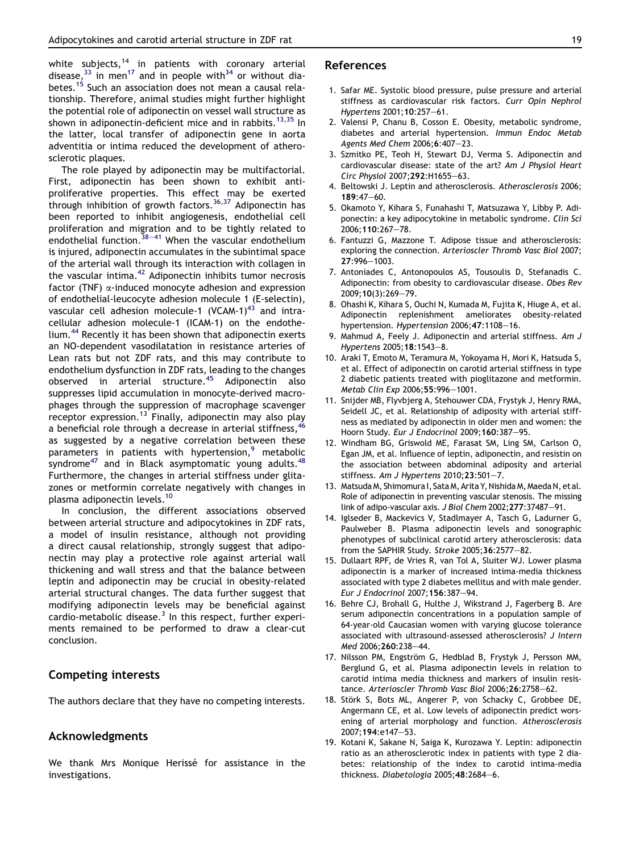white subjects, $^{14}$  in patients with coronary arterial disease,  $33$  in men<sup>17</sup> and in people with  $34$  or without diabetes.<sup>15</sup> Such an association does not mean a causal relationship. Therefore, animal studies might further highlight the potential role of adiponectin on vessel wall structure as shown in adiponectin-deficient mice and in rabbits.<sup>13,35</sup> In the latter, local transfer of adiponectin gene in aorta adventitia or intima reduced the development of atherosclerotic plaques.

The role played by adiponectin may be multifactorial. First, adiponectin has been shown to exhibit antiproliferative properties. This effect may be exerted through inhibition of growth factors.<sup>36,37</sup> Adiponectin has been reported to inhibit angiogenesis, endothelial cell proliferation and migration and to be tightly related to endothelial function. $38-41$  When the vascular endothelium is injured, adiponectin accumulates in the subintimal space of the arterial wall through its interaction with collagen in the vascular intima.<sup>42</sup> Adiponectin inhibits tumor necrosis factor (TNF)  $\alpha$ -induced monocyte adhesion and expression of endothelial-leucocyte adhesion molecule 1 (E-selectin), vascular cell adhesion molecule-1 (VCAM-1) $43$  and intracellular adhesion molecule-1 (ICAM-1) on the endothelium.44 Recently it has been shown that adiponectin exerts an NO-dependent vasodilatation in resistance arteries of Lean rats but not ZDF rats, and this may contribute to endothelium dysfunction in ZDF rats, leading to the changes observed in arterial structure.<sup>45</sup> Adiponectin also suppresses lipid accumulation in monocyte-derived macrophages through the suppression of macrophage scavenger receptor expression.<sup>13</sup> Finally, adiponectin may also play a beneficial role through a decrease in arterial stiffness, <sup>46</sup> as suggested by a negative correlation between these parameters in patients with hypertension, $9$  metabolic syndrome<sup>47</sup> and in Black asymptomatic young adults.<sup>48</sup> Furthermore, the changes in arterial stiffness under glitazones or metformin correlate negatively with changes in plasma adiponectin levels.<sup>10</sup>

In conclusion, the different associations observed between arterial structure and adipocytokines in ZDF rats, a model of insulin resistance, although not providing a direct causal relationship, strongly suggest that adiponectin may play a protective role against arterial wall thickening and wall stress and that the balance between leptin and adiponectin may be crucial in obesity-related arterial structural changes. The data further suggest that modifying adiponectin levels may be beneficial against cardio-metabolic disease. $3$  In this respect, further experiments remained to be performed to draw a clear-cut conclusion.

# Competing interests

The authors declare that they have no competing interests.

### Acknowledgments

We thank Mrs Monique Herissé for assistance in the investigations.

# References

- 1. Safar ME. Systolic blood pressure, pulse pressure and arterial stiffness as cardiovascular risk factors. Curr Opin Nephrol Hypertens 2001;10:257-61.
- 2. Valensi P, Chanu B, Cosson E. Obesity, metabolic syndrome, diabetes and arterial hypertension. Immun Endoc Metab Agents Med Chem 2006;6:407-23.
- 3. Szmitko PE, Teoh H, Stewart DJ, Verma S. Adiponectin and cardiovascular disease: state of the art? Am J Physiol Heart Circ Physiol 2007; 292: H1655-63.
- 4. Beltowski J. Leptin and atherosclerosis. Atherosclerosis 2006;  $189.47 - 60$
- 5. Okamoto Y, Kihara S, Funahashi T, Matsuzawa Y, Libby P. Adiponectin: a key adipocytokine in metabolic syndrome. Clin Sci 2006;110:267-78.
- 6. Fantuzzi G, Mazzone T. Adipose tissue and atherosclerosis: exploring the connection. Arterioscler Thromb Vasc Biol 2007; 27:996-1003.
- 7. Antoniades C, Antonopoulos AS, Tousoulis D, Stefanadis C. Adiponectin: from obesity to cardiovascular disease. Obes Rev 2009;10(3):269-79.
- 8. Ohashi K, Kihara S, Ouchi N, Kumada M, Fujita K, Hiuge A, et al. Adiponectin replenishment ameliorates obesity-related hypertension. Hypertension 2006;47:1108-16.
- 9. Mahmud A, Feely J. Adiponectin and arterial stiffness. Am J Hypertens 2005;18:1543-8.
- 10. Araki T, Emoto M, Teramura M, Yokoyama H, Mori K, Hatsuda S, et al. Effect of adiponectin on carotid arterial stiffness in type 2 diabetic patients treated with pioglitazone and metformin. Metab Clin Exp 2006;55:996-1001.
- 11. Snijder MB, Flyvbjerg A, Stehouwer CDA, Frystyk J, Henry RMA, Seidell JC, et al. Relationship of adiposity with arterial stiffness as mediated by adiponectin in older men and women: the Hoorn Study. Eur J Endocrinol 2009;160:387-95.
- 12. Windham BG, Griswold ME, Farasat SM, Ling SM, Carlson O, Egan JM, et al. Influence of leptin, adiponectin, and resistin on the association between abdominal adiposity and arterial stiffness. Am J Hypertens  $2010; 23:501 - 7$ .
- 13. Matsuda M, ShimomuraI, Sata M, Arita Y, Nishida M, Maeda N, et al. Role of adiponectin in preventing vascular stenosis. The missing link of adipo-vascular axis. J Biol Chem  $2002;277:37487-91$ .
- 14. Iglseder B, Mackevics V, Stadlmayer A, Tasch G, Ladurner G, Paulweber B. Plasma adiponectin levels and sonographic phenotypes of subclinical carotid artery atherosclerosis: data from the SAPHIR Study. Stroke 2005;36:2577-82.
- 15. Dullaart RPF, de Vries R, van Tol A, Sluiter WJ. Lower plasma adiponectin is a marker of increased intima-media thickness associated with type 2 diabetes mellitus and with male gender. Eur J Endocrinol 2007;156:387-94.
- 16. Behre CJ, Brohall G, Hulthe J, Wikstrand J, Fagerberg B. Are serum adiponectin concentrations in a population sample of 64-year-old Caucasian women with varying glucose tolerance associated with ultrasound-assessed atherosclerosis? J Intern Med 2006;260:238-44.
- 17. Nilsson PM, Engström G, Hedblad B, Frystyk J, Persson MM, Berglund G, et al. Plasma adiponectin levels in relation to carotid intima media thickness and markers of insulin resistance. Arterioscler Thromb Vasc Biol 2006;26:2758-62.
- 18. Störk S, Bots ML, Angerer P, von Schacky C, Grobbee DE, Angermann CE, et al. Low levels of adiponectin predict worsening of arterial morphology and function. Atherosclerosis 2007;194:e147-53.
- 19. Kotani K, Sakane N, Saiga K, Kurozawa Y. Leptin: adiponectin ratio as an atherosclerotic index in patients with type 2 diabetes: relationship of the index to carotid intima-media thickness. Diabetologia 2005;48:2684-6.